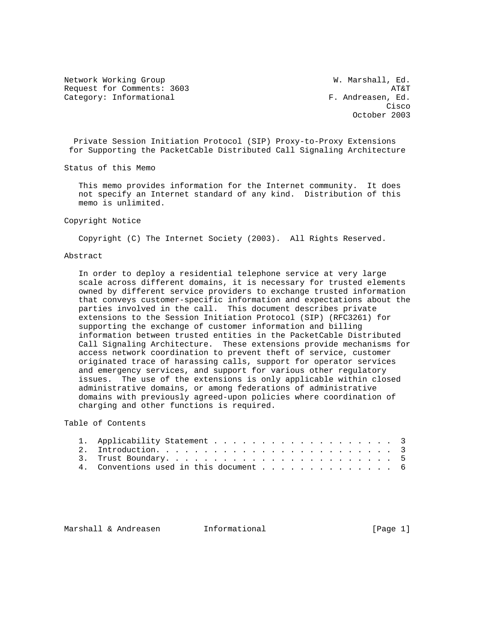Network Working Group W. Marshall, Ed. Request for Comments: 3603 AT&T Category: Informational  $F.$  Andreasen, Ed.

**Cisco de la contrata de la contrata de la contrata de la contrata de la contrata de la contrata de la contrat** October 2003

 Private Session Initiation Protocol (SIP) Proxy-to-Proxy Extensions for Supporting the PacketCable Distributed Call Signaling Architecture

Status of this Memo

 This memo provides information for the Internet community. It does not specify an Internet standard of any kind. Distribution of this memo is unlimited.

#### Copyright Notice

Copyright (C) The Internet Society (2003). All Rights Reserved.

# Abstract

 In order to deploy a residential telephone service at very large scale across different domains, it is necessary for trusted elements owned by different service providers to exchange trusted information that conveys customer-specific information and expectations about the parties involved in the call. This document describes private extensions to the Session Initiation Protocol (SIP) (RFC3261) for supporting the exchange of customer information and billing information between trusted entities in the PacketCable Distributed Call Signaling Architecture. These extensions provide mechanisms for access network coordination to prevent theft of service, customer originated trace of harassing calls, support for operator services and emergency services, and support for various other regulatory issues. The use of the extensions is only applicable within closed administrative domains, or among federations of administrative domains with previously agreed-upon policies where coordination of charging and other functions is required.

# Table of Contents

|  | 4. Conventions used in this document 6 |  |
|--|----------------------------------------|--|

Marshall & Andreasen 1nformational 1999 (Page 1)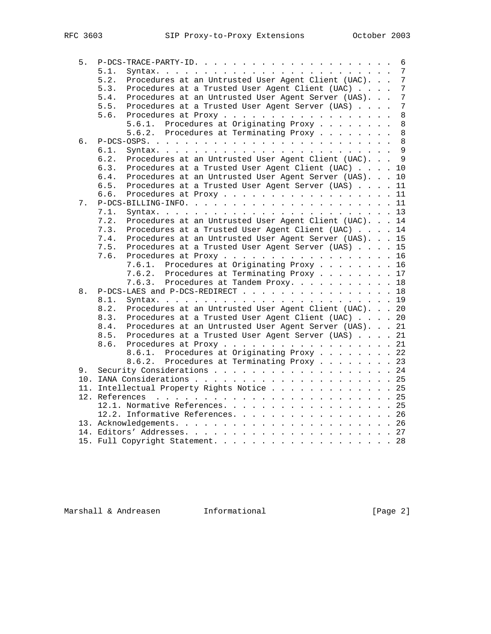| 5. | $P-DCS-TRACE-PARTY-ID.$                                           | 6               |
|----|-------------------------------------------------------------------|-----------------|
|    | 5.1.                                                              | $7\phantom{.0}$ |
|    | Procedures at an Untrusted User Agent Client (UAC).<br>5.2.       | $\overline{7}$  |
|    | 5.3.<br>Procedures at a Trusted User Agent Client (UAC)           | 7               |
|    | 5.4.<br>Procedures at an Untrusted User Agent Server (UAS).       | 7               |
|    | Procedures at a Trusted User Agent Server (UAS)<br>5.5.           | 7               |
|    | 5.6.<br>Procedures at Proxy                                       | 8               |
|    | Procedures at Originating Proxy<br>5.6.1.                         | 8               |
|    | Procedures at Terminating Proxy<br>5.6.2.                         | 8               |
| б. |                                                                   | $\,8\,$         |
|    | 6.1.                                                              | 9               |
|    | Procedures at an Untrusted User Agent Client (UAC). 9<br>6.2.     |                 |
|    | 6.3.<br>Procedures at a Trusted User Agent Client (UAC) 10        |                 |
|    | Procedures at an Untrusted User Agent Server (UAS).<br>6.4.<br>10 |                 |
|    | 6.5.<br>Procedures at a Trusted User Agent Server (UAS)<br>11     |                 |
|    | Procedures at Proxy 11<br>6.6.                                    |                 |
| 7. |                                                                   |                 |
|    | 7.1.                                                              |                 |
|    | 7.2.<br>Procedures at an Untrusted User Agent Client (UAC). 14    |                 |
|    | 7.3.<br>Procedures at a Trusted User Agent Client (UAC) 14        |                 |
|    | Procedures at an Untrusted User Agent Server (UAS). 15<br>7.4.    |                 |
|    | Procedures at a Trusted User Agent Server (UAS) 15<br>7.5.        |                 |
|    | Procedures at Proxy 16<br>7.6.                                    |                 |
|    | 7.6.1. Procedures at Originating Proxy 16                         |                 |
|    | 7.6.2.<br>Procedures at Terminating Proxy 17                      |                 |
|    | Procedures at Tandem Proxy. 18<br>7.6.3.                          |                 |
| 8. | P-DCS-LAES and P-DCS-REDIRECT 18                                  |                 |
|    | 8.1.                                                              |                 |
|    | Procedures at an Untrusted User Agent Client (UAC). 20<br>8.2.    |                 |
|    | Procedures at a Trusted User Agent Client (UAC) 20<br>8.3.        |                 |
|    | Procedures at an Untrusted User Agent Server (UAS). 21<br>8.4.    |                 |
|    | Procedures at a Trusted User Agent Server (UAS) 21<br>8.5.        |                 |
|    | Procedures at Proxy 21<br>8.6.                                    |                 |
|    | Procedures at Originating Proxy 22<br>8.6.1.                      |                 |
|    | Procedures at Terminating Proxy 23<br>8.6.2.                      |                 |
|    |                                                                   |                 |
| 9. | Security Considerations 24                                        |                 |
|    |                                                                   |                 |
|    | 11. Intellectual Property Rights Notice 25                        |                 |
|    |                                                                   |                 |
|    | 12.1. Normative References. 25                                    |                 |
|    | 12.2. Informative References. 26                                  |                 |
|    |                                                                   |                 |
|    |                                                                   |                 |
|    | 15. Full Copyright Statement. 28                                  |                 |

Marshall & Andreasen 1nformational 11 (Page 2)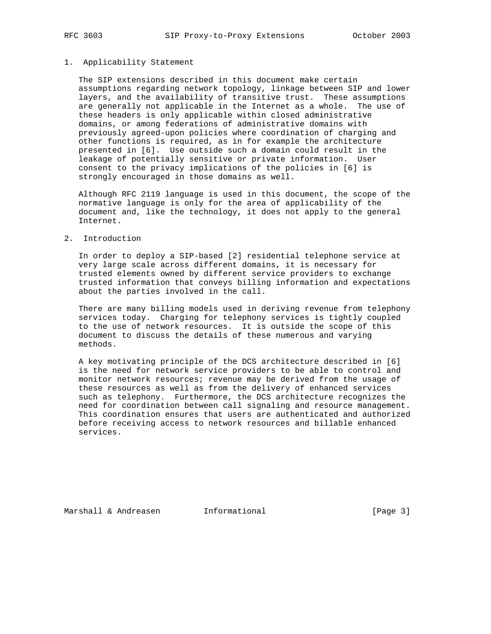### 1. Applicability Statement

 The SIP extensions described in this document make certain assumptions regarding network topology, linkage between SIP and lower layers, and the availability of transitive trust. These assumptions are generally not applicable in the Internet as a whole. The use of these headers is only applicable within closed administrative domains, or among federations of administrative domains with previously agreed-upon policies where coordination of charging and other functions is required, as in for example the architecture presented in [6]. Use outside such a domain could result in the leakage of potentially sensitive or private information. User consent to the privacy implications of the policies in [6] is strongly encouraged in those domains as well.

 Although RFC 2119 language is used in this document, the scope of the normative language is only for the area of applicability of the document and, like the technology, it does not apply to the general Internet.

# 2. Introduction

 In order to deploy a SIP-based [2] residential telephone service at very large scale across different domains, it is necessary for trusted elements owned by different service providers to exchange trusted information that conveys billing information and expectations about the parties involved in the call.

 There are many billing models used in deriving revenue from telephony services today. Charging for telephony services is tightly coupled to the use of network resources. It is outside the scope of this document to discuss the details of these numerous and varying methods.

 A key motivating principle of the DCS architecture described in [6] is the need for network service providers to be able to control and monitor network resources; revenue may be derived from the usage of these resources as well as from the delivery of enhanced services such as telephony. Furthermore, the DCS architecture recognizes the need for coordination between call signaling and resource management. This coordination ensures that users are authenticated and authorized before receiving access to network resources and billable enhanced services.

Marshall & Andreasen 1nformational 1999 (Page 3)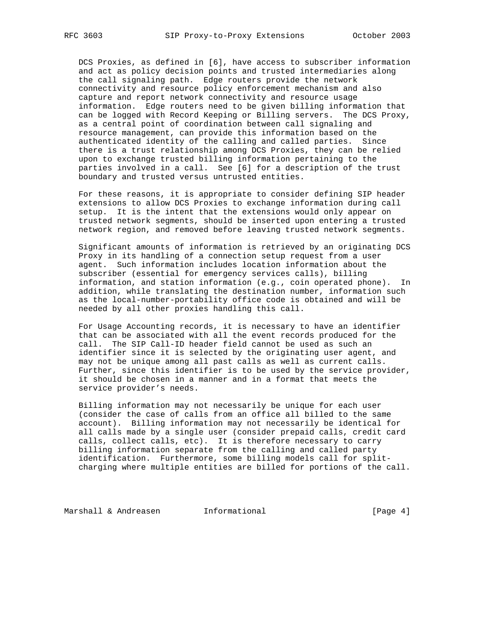DCS Proxies, as defined in [6], have access to subscriber information and act as policy decision points and trusted intermediaries along the call signaling path. Edge routers provide the network connectivity and resource policy enforcement mechanism and also capture and report network connectivity and resource usage information. Edge routers need to be given billing information that can be logged with Record Keeping or Billing servers. The DCS Proxy, as a central point of coordination between call signaling and resource management, can provide this information based on the authenticated identity of the calling and called parties. Since there is a trust relationship among DCS Proxies, they can be relied upon to exchange trusted billing information pertaining to the parties involved in a call. See [6] for a description of the trust boundary and trusted versus untrusted entities.

 For these reasons, it is appropriate to consider defining SIP header extensions to allow DCS Proxies to exchange information during call setup. It is the intent that the extensions would only appear on trusted network segments, should be inserted upon entering a trusted network region, and removed before leaving trusted network segments.

 Significant amounts of information is retrieved by an originating DCS Proxy in its handling of a connection setup request from a user agent. Such information includes location information about the subscriber (essential for emergency services calls), billing information, and station information (e.g., coin operated phone). In addition, while translating the destination number, information such as the local-number-portability office code is obtained and will be needed by all other proxies handling this call.

 For Usage Accounting records, it is necessary to have an identifier that can be associated with all the event records produced for the call. The SIP Call-ID header field cannot be used as such an identifier since it is selected by the originating user agent, and may not be unique among all past calls as well as current calls. Further, since this identifier is to be used by the service provider, it should be chosen in a manner and in a format that meets the service provider's needs.

 Billing information may not necessarily be unique for each user (consider the case of calls from an office all billed to the same account). Billing information may not necessarily be identical for all calls made by a single user (consider prepaid calls, credit card calls, collect calls, etc). It is therefore necessary to carry billing information separate from the calling and called party identification. Furthermore, some billing models call for split charging where multiple entities are billed for portions of the call.

Marshall & Andreasen and Informational and the same state of  $[Page 4]$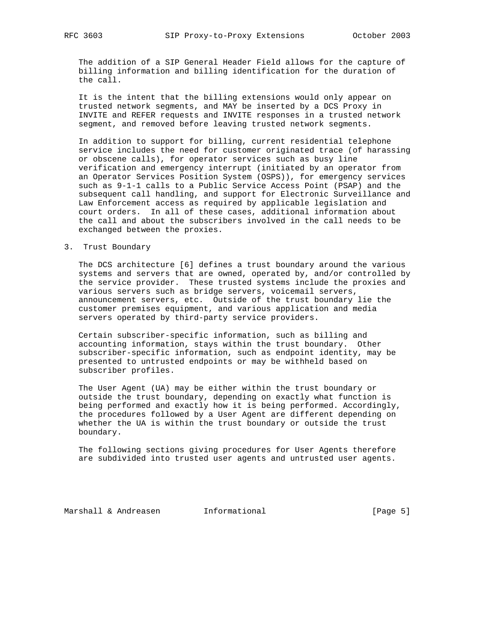The addition of a SIP General Header Field allows for the capture of billing information and billing identification for the duration of the call.

 It is the intent that the billing extensions would only appear on trusted network segments, and MAY be inserted by a DCS Proxy in INVITE and REFER requests and INVITE responses in a trusted network segment, and removed before leaving trusted network segments.

 In addition to support for billing, current residential telephone service includes the need for customer originated trace (of harassing or obscene calls), for operator services such as busy line verification and emergency interrupt (initiated by an operator from an Operator Services Position System (OSPS)), for emergency services such as 9-1-1 calls to a Public Service Access Point (PSAP) and the subsequent call handling, and support for Electronic Surveillance and Law Enforcement access as required by applicable legislation and court orders. In all of these cases, additional information about the call and about the subscribers involved in the call needs to be exchanged between the proxies.

3. Trust Boundary

 The DCS architecture [6] defines a trust boundary around the various systems and servers that are owned, operated by, and/or controlled by the service provider. These trusted systems include the proxies and various servers such as bridge servers, voicemail servers, announcement servers, etc. Outside of the trust boundary lie the customer premises equipment, and various application and media servers operated by third-party service providers.

 Certain subscriber-specific information, such as billing and accounting information, stays within the trust boundary. Other subscriber-specific information, such as endpoint identity, may be presented to untrusted endpoints or may be withheld based on subscriber profiles.

 The User Agent (UA) may be either within the trust boundary or outside the trust boundary, depending on exactly what function is being performed and exactly how it is being performed. Accordingly, the procedures followed by a User Agent are different depending on whether the UA is within the trust boundary or outside the trust boundary.

 The following sections giving procedures for User Agents therefore are subdivided into trusted user agents and untrusted user agents.

Marshall & Andreasen 1nformational 1999 [Page 5]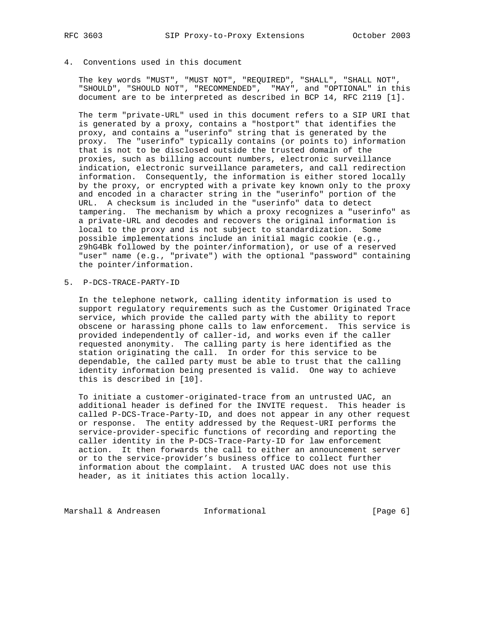# 4. Conventions used in this document

 The key words "MUST", "MUST NOT", "REQUIRED", "SHALL", "SHALL NOT", "SHOULD", "SHOULD NOT", "RECOMMENDED", "MAY", and "OPTIONAL" in this document are to be interpreted as described in BCP 14, RFC 2119 [1].

 The term "private-URL" used in this document refers to a SIP URI that is generated by a proxy, contains a "hostport" that identifies the proxy, and contains a "userinfo" string that is generated by the proxy. The "userinfo" typically contains (or points to) information that is not to be disclosed outside the trusted domain of the proxies, such as billing account numbers, electronic surveillance indication, electronic surveillance parameters, and call redirection information. Consequently, the information is either stored locally by the proxy, or encrypted with a private key known only to the proxy and encoded in a character string in the "userinfo" portion of the URL. A checksum is included in the "userinfo" data to detect tampering. The mechanism by which a proxy recognizes a "userinfo" as a private-URL and decodes and recovers the original information is local to the proxy and is not subject to standardization. Some possible implementations include an initial magic cookie (e.g., z9hG4Bk followed by the pointer/information), or use of a reserved "user" name (e.g., "private") with the optional "password" containing the pointer/information.

5. P-DCS-TRACE-PARTY-ID

 In the telephone network, calling identity information is used to support regulatory requirements such as the Customer Originated Trace service, which provide the called party with the ability to report obscene or harassing phone calls to law enforcement. This service is provided independently of caller-id, and works even if the caller requested anonymity. The calling party is here identified as the station originating the call. In order for this service to be dependable, the called party must be able to trust that the calling identity information being presented is valid. One way to achieve this is described in [10].

 To initiate a customer-originated-trace from an untrusted UAC, an additional header is defined for the INVITE request. This header is called P-DCS-Trace-Party-ID, and does not appear in any other request or response. The entity addressed by the Request-URI performs the service-provider-specific functions of recording and reporting the caller identity in the P-DCS-Trace-Party-ID for law enforcement action. It then forwards the call to either an announcement server or to the service-provider's business office to collect further information about the complaint. A trusted UAC does not use this header, as it initiates this action locally.

Marshall & Andreasen 1nformational 1999 [Page 6]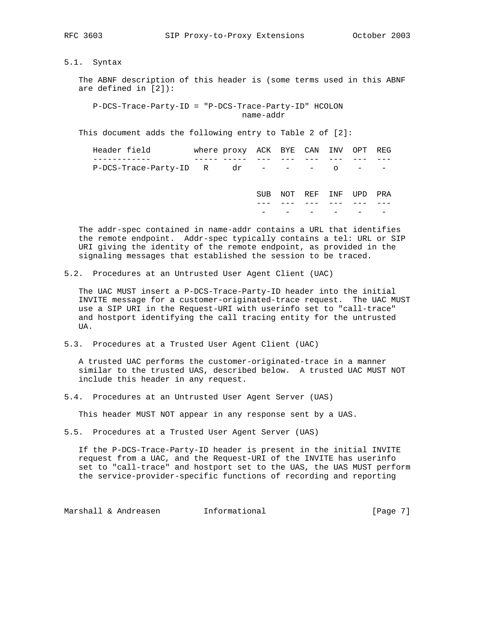5.1. Syntax

 The ABNF description of this header is (some terms used in this ABNF are defined in [2]):

 P-DCS-Trace-Party-ID = "P-DCS-Trace-Party-ID" HCOLON name-addr

This document adds the following entry to Table 2 of [2]:

| Header field                    | where proxy ACK BYE CAN INV OPT REG |            |         |         |                               |     |
|---------------------------------|-------------------------------------|------------|---------|---------|-------------------------------|-----|
|                                 |                                     |            |         |         |                               |     |
| P-DCS-Trace-Party-ID R dr - - - |                                     |            |         | $\circ$ | the company of the company of |     |
|                                 |                                     |            |         |         |                               |     |
|                                 |                                     | <b>SUB</b> | NOT REF | INF     | UPD                           | PRA |
|                                 |                                     |            |         |         |                               |     |
|                                 |                                     |            |         |         |                               |     |
|                                 |                                     |            |         |         |                               |     |

 The addr-spec contained in name-addr contains a URL that identifies the remote endpoint. Addr-spec typically contains a tel: URL or SIP URI giving the identity of the remote endpoint, as provided in the signaling messages that established the session to be traced.

5.2. Procedures at an Untrusted User Agent Client (UAC)

 The UAC MUST insert a P-DCS-Trace-Party-ID header into the initial INVITE message for a customer-originated-trace request. The UAC MUST use a SIP URI in the Request-URI with userinfo set to "call-trace" and hostport identifying the call tracing entity for the untrusted UA.

5.3. Procedures at a Trusted User Agent Client (UAC)

 A trusted UAC performs the customer-originated-trace in a manner similar to the trusted UAS, described below. A trusted UAC MUST NOT include this header in any request.

5.4. Procedures at an Untrusted User Agent Server (UAS)

This header MUST NOT appear in any response sent by a UAS.

5.5. Procedures at a Trusted User Agent Server (UAS)

 If the P-DCS-Trace-Party-ID header is present in the initial INVITE request from a UAC, and the Request-URI of the INVITE has userinfo set to "call-trace" and hostport set to the UAS, the UAS MUST perform the service-provider-specific functions of recording and reporting

Marshall & Andreasen 1nformational 1999 [Page 7]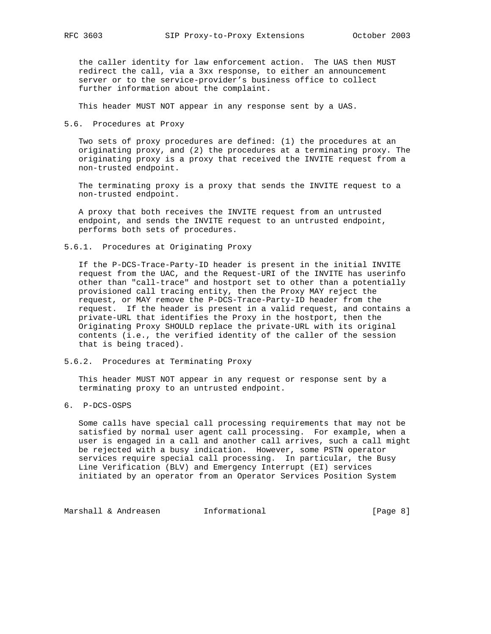the caller identity for law enforcement action. The UAS then MUST redirect the call, via a 3xx response, to either an announcement server or to the service-provider's business office to collect further information about the complaint.

This header MUST NOT appear in any response sent by a UAS.

5.6. Procedures at Proxy

 Two sets of proxy procedures are defined: (1) the procedures at an originating proxy, and (2) the procedures at a terminating proxy. The originating proxy is a proxy that received the INVITE request from a non-trusted endpoint.

 The terminating proxy is a proxy that sends the INVITE request to a non-trusted endpoint.

 A proxy that both receives the INVITE request from an untrusted endpoint, and sends the INVITE request to an untrusted endpoint, performs both sets of procedures.

5.6.1. Procedures at Originating Proxy

 If the P-DCS-Trace-Party-ID header is present in the initial INVITE request from the UAC, and the Request-URI of the INVITE has userinfo other than "call-trace" and hostport set to other than a potentially provisioned call tracing entity, then the Proxy MAY reject the request, or MAY remove the P-DCS-Trace-Party-ID header from the request. If the header is present in a valid request, and contains a private-URL that identifies the Proxy in the hostport, then the Originating Proxy SHOULD replace the private-URL with its original contents (i.e., the verified identity of the caller of the session that is being traced).

5.6.2. Procedures at Terminating Proxy

 This header MUST NOT appear in any request or response sent by a terminating proxy to an untrusted endpoint.

6. P-DCS-OSPS

 Some calls have special call processing requirements that may not be satisfied by normal user agent call processing. For example, when a user is engaged in a call and another call arrives, such a call might be rejected with a busy indication. However, some PSTN operator services require special call processing. In particular, the Busy Line Verification (BLV) and Emergency Interrupt (EI) services initiated by an operator from an Operator Services Position System

Marshall & Andreasen 1nformational 1999 [Page 8]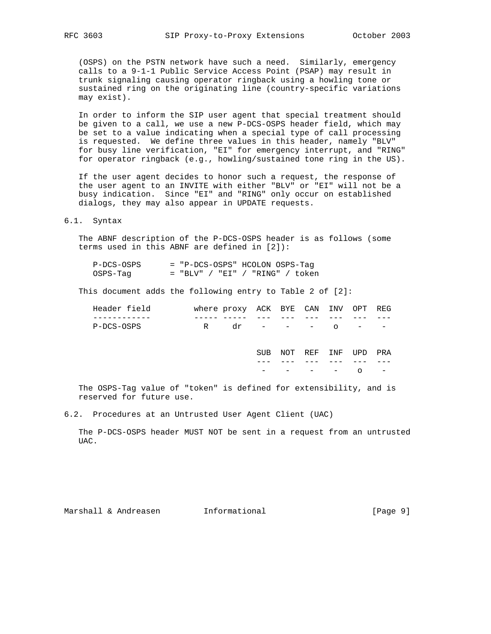(OSPS) on the PSTN network have such a need. Similarly, emergency calls to a 9-1-1 Public Service Access Point (PSAP) may result in trunk signaling causing operator ringback using a howling tone or sustained ring on the originating line (country-specific variations may exist).

 In order to inform the SIP user agent that special treatment should be given to a call, we use a new P-DCS-OSPS header field, which may be set to a value indicating when a special type of call processing is requested. We define three values in this header, namely "BLV" for busy line verification, "EI" for emergency interrupt, and "RING" for operator ringback (e.g., howling/sustained tone ring in the US).

 If the user agent decides to honor such a request, the response of the user agent to an INVITE with either "BLV" or "EI" will not be a busy indication. Since "EI" and "RING" only occur on established dialogs, they may also appear in UPDATE requests.

# 6.1. Syntax

 The ABNF description of the P-DCS-OSPS header is as follows (some terms used in this ABNF are defined in [2]):

| P-DCS-OSPS | = "P-DCS-OSPS" HCOLON OSPS-Tag    |  |  |  |
|------------|-----------------------------------|--|--|--|
| OSPS-Taq   | $=$ "BLV" / "EI" / "RING" / token |  |  |  |

This document adds the following entry to Table 2 of [2]:

| Header field | where proxy ACK BYE CAN INV OPT REG |  |         |             |  |
|--------------|-------------------------------------|--|---------|-------------|--|
|              |                                     |  |         |             |  |
| P-DCS-OSPS   | dr                                  |  | _______ | $\cap$ $ -$ |  |

 SUB NOT REF INF UPD PRA --- --- --- --- --- ---  $-$  - - - -  $-$  o -

 The OSPS-Tag value of "token" is defined for extensibility, and is reserved for future use.

6.2. Procedures at an Untrusted User Agent Client (UAC)

 The P-DCS-OSPS header MUST NOT be sent in a request from an untrusted UAC.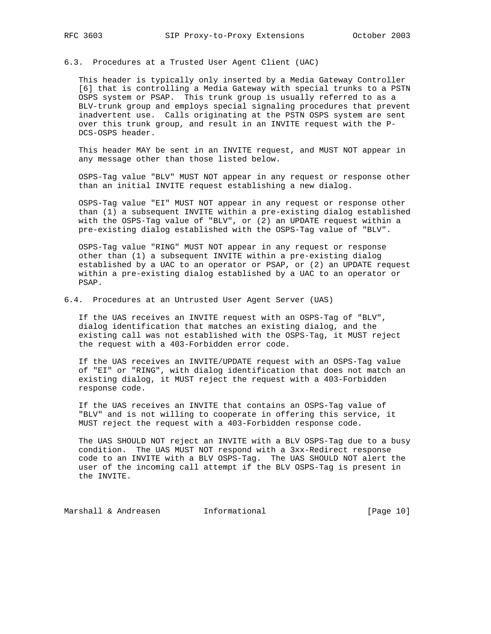6.3. Procedures at a Trusted User Agent Client (UAC)

 This header is typically only inserted by a Media Gateway Controller [6] that is controlling a Media Gateway with special trunks to a PSTN OSPS system or PSAP. This trunk group is usually referred to as a BLV-trunk group and employs special signaling procedures that prevent inadvertent use. Calls originating at the PSTN OSPS system are sent over this trunk group, and result in an INVITE request with the P- DCS-OSPS header.

 This header MAY be sent in an INVITE request, and MUST NOT appear in any message other than those listed below.

 OSPS-Tag value "BLV" MUST NOT appear in any request or response other than an initial INVITE request establishing a new dialog.

 OSPS-Tag value "EI" MUST NOT appear in any request or response other than (1) a subsequent INVITE within a pre-existing dialog established with the OSPS-Tag value of "BLV", or (2) an UPDATE request within a pre-existing dialog established with the OSPS-Tag value of "BLV".

 OSPS-Tag value "RING" MUST NOT appear in any request or response other than (1) a subsequent INVITE within a pre-existing dialog established by a UAC to an operator or PSAP, or (2) an UPDATE request within a pre-existing dialog established by a UAC to an operator or PSAP.

6.4. Procedures at an Untrusted User Agent Server (UAS)

 If the UAS receives an INVITE request with an OSPS-Tag of "BLV", dialog identification that matches an existing dialog, and the existing call was not established with the OSPS-Tag, it MUST reject the request with a 403-Forbidden error code.

 If the UAS receives an INVITE/UPDATE request with an OSPS-Tag value of "EI" or "RING", with dialog identification that does not match an existing dialog, it MUST reject the request with a 403-Forbidden response code.

 If the UAS receives an INVITE that contains an OSPS-Tag value of "BLV" and is not willing to cooperate in offering this service, it MUST reject the request with a 403-Forbidden response code.

 The UAS SHOULD NOT reject an INVITE with a BLV OSPS-Tag due to a busy condition. The UAS MUST NOT respond with a 3xx-Redirect response code to an INVITE with a BLV OSPS-Tag. The UAS SHOULD NOT alert the user of the incoming call attempt if the BLV OSPS-Tag is present in the INVITE.

Marshall & Andreasen Informational [Page 10]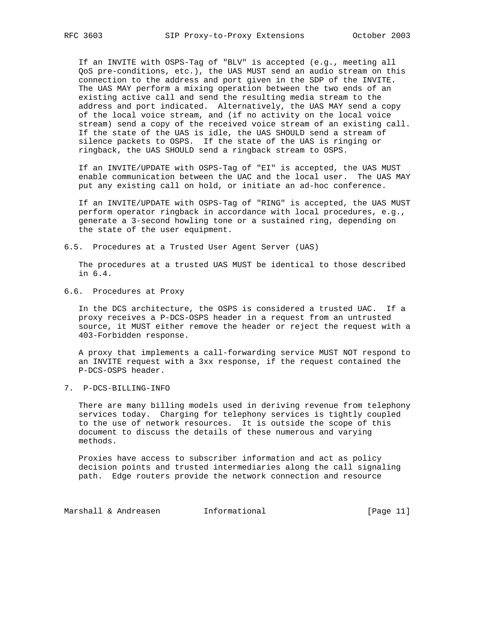If an INVITE with OSPS-Tag of "BLV" is accepted (e.g., meeting all QoS pre-conditions, etc.), the UAS MUST send an audio stream on this connection to the address and port given in the SDP of the INVITE. The UAS MAY perform a mixing operation between the two ends of an existing active call and send the resulting media stream to the address and port indicated. Alternatively, the UAS MAY send a copy of the local voice stream, and (if no activity on the local voice stream) send a copy of the received voice stream of an existing call. If the state of the UAS is idle, the UAS SHOULD send a stream of silence packets to OSPS. If the state of the UAS is ringing or ringback, the UAS SHOULD send a ringback stream to OSPS.

 If an INVITE/UPDATE with OSPS-Tag of "EI" is accepted, the UAS MUST enable communication between the UAC and the local user. The UAS MAY put any existing call on hold, or initiate an ad-hoc conference.

 If an INVITE/UPDATE with OSPS-Tag of "RING" is accepted, the UAS MUST perform operator ringback in accordance with local procedures, e.g., generate a 3-second howling tone or a sustained ring, depending on the state of the user equipment.

6.5. Procedures at a Trusted User Agent Server (UAS)

 The procedures at a trusted UAS MUST be identical to those described in 6.4.

6.6. Procedures at Proxy

 In the DCS architecture, the OSPS is considered a trusted UAC. If a proxy receives a P-DCS-OSPS header in a request from an untrusted source, it MUST either remove the header or reject the request with a 403-Forbidden response.

 A proxy that implements a call-forwarding service MUST NOT respond to an INVITE request with a 3xx response, if the request contained the P-DCS-OSPS header.

7. P-DCS-BILLING-INFO

 There are many billing models used in deriving revenue from telephony services today. Charging for telephony services is tightly coupled to the use of network resources. It is outside the scope of this document to discuss the details of these numerous and varying methods.

 Proxies have access to subscriber information and act as policy decision points and trusted intermediaries along the call signaling path. Edge routers provide the network connection and resource

Marshall & Andreasen and Informational and The Informational [Page 11]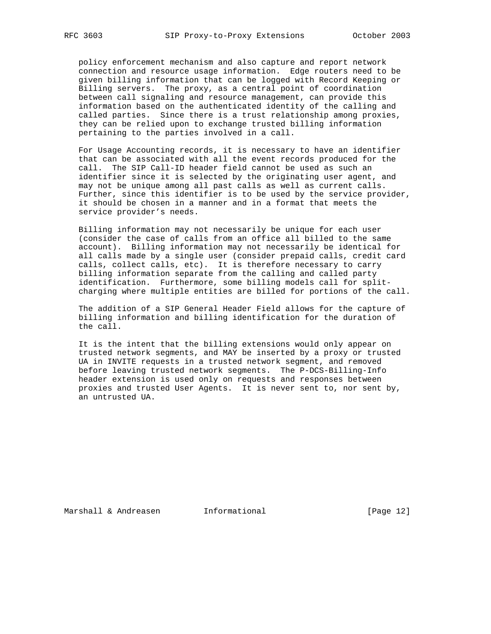policy enforcement mechanism and also capture and report network connection and resource usage information. Edge routers need to be given billing information that can be logged with Record Keeping or Billing servers. The proxy, as a central point of coordination between call signaling and resource management, can provide this information based on the authenticated identity of the calling and called parties. Since there is a trust relationship among proxies, they can be relied upon to exchange trusted billing information pertaining to the parties involved in a call.

 For Usage Accounting records, it is necessary to have an identifier that can be associated with all the event records produced for the call. The SIP Call-ID header field cannot be used as such an identifier since it is selected by the originating user agent, and may not be unique among all past calls as well as current calls. Further, since this identifier is to be used by the service provider, it should be chosen in a manner and in a format that meets the service provider's needs.

 Billing information may not necessarily be unique for each user (consider the case of calls from an office all billed to the same account). Billing information may not necessarily be identical for all calls made by a single user (consider prepaid calls, credit card calls, collect calls, etc). It is therefore necessary to carry billing information separate from the calling and called party identification. Furthermore, some billing models call for split charging where multiple entities are billed for portions of the call.

 The addition of a SIP General Header Field allows for the capture of billing information and billing identification for the duration of the call.

 It is the intent that the billing extensions would only appear on trusted network segments, and MAY be inserted by a proxy or trusted UA in INVITE requests in a trusted network segment, and removed before leaving trusted network segments. The P-DCS-Billing-Info header extension is used only on requests and responses between proxies and trusted User Agents. It is never sent to, nor sent by, an untrusted UA.

Marshall & Andreasen **Informational Informational** [Page 12]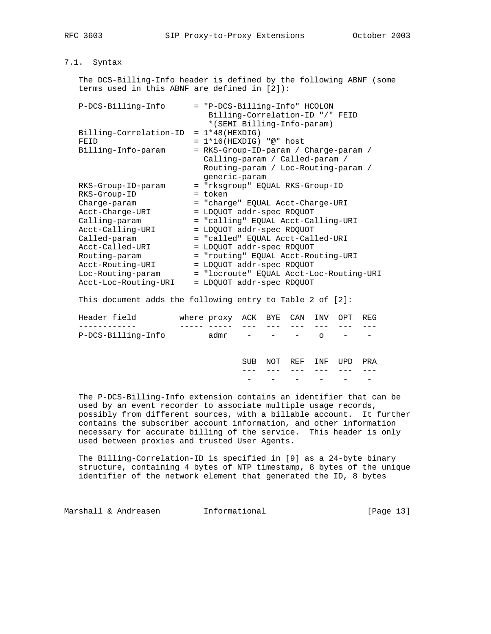# 7.1. Syntax

 The DCS-Billing-Info header is defined by the following ABNF (some terms used in this ABNF are defined in [2]):

| P-DCS-Billing-Info     | = "P-DCS-Billing-Info" HCOLON<br>Billing-Correlation-ID "/" FEID |
|------------------------|------------------------------------------------------------------|
|                        | *(SEMI Billing-Info-param)                                       |
| Billing-Correlation-ID | $= 1*48$ (HEXDIG)                                                |
| FEID                   | $= 1*16$ (HEXDIG) "@" host                                       |
| Billing-Info-param     | = RKS-Group-ID-param / Charge-param /                            |
|                        | Calling-param / Called-param /                                   |
|                        | Routing-param / Loc-Routing-param /                              |
|                        | qeneric-param                                                    |
| RKS-Group-ID-param     | = "rksgroup" EOUAL RKS-Group-ID                                  |
| RKS-Group-ID           | = token                                                          |
| Charge-param           | = "charge" EOUAL Acct-Charge-URI                                 |
| Acct-Charge-URI        | = LDQUOT addr-spec RDQUOT                                        |
| Calling-param          | = "calling" EOUAL Acct-Calling-URI                               |
| Acct-Calling-URI       | = LDOUOT addr-spec RDOUOT                                        |
| Called-param           | = "called" EOUAL Acct-Called-URI                                 |
| Acct-Called-URI        | = LDOUOT addr-spec RDOUOT                                        |
| Routing-param          | = "routing" EQUAL Acct-Routing-URI                               |
| Acct-Routing-URI       | = LDOUOT addr-spec RDOUOT                                        |
| Loc-Routing-param      | = "locroute" EQUAL Acct-Loc-Routing-URI                          |
| Acct-Loc-Routing-URI   | = LDOUOT addr-spec RDOUOT                                        |
|                        |                                                                  |

This document adds the following entry to Table 2 of [2]:

| Header field       | where proxy ACK BYE CAN INV OPT REG |      |           |             |                                   |     |
|--------------------|-------------------------------------|------|-----------|-------------|-----------------------------------|-----|
|                    |                                     |      |           |             |                                   |     |
| P-DCS-Billing-Info | admr                                |      | $   \cap$ |             | <b>Contract Contract Contract</b> |     |
|                    |                                     | SUR. |           | NOT REF INF | TIPD                              | PRA |

 --- --- --- --- --- ---  $-$  -  $-$  The P-DCS-Billing-Info extension contains an identifier that can be used by an event recorder to associate multiple usage records,

 possibly from different sources, with a billable account. It further contains the subscriber account information, and other information necessary for accurate billing of the service. This header is only used between proxies and trusted User Agents.

 The Billing-Correlation-ID is specified in [9] as a 24-byte binary structure, containing 4 bytes of NTP timestamp, 8 bytes of the unique identifier of the network element that generated the ID, 8 bytes

Marshall & Andreasen **Informational Informational** [Page 13]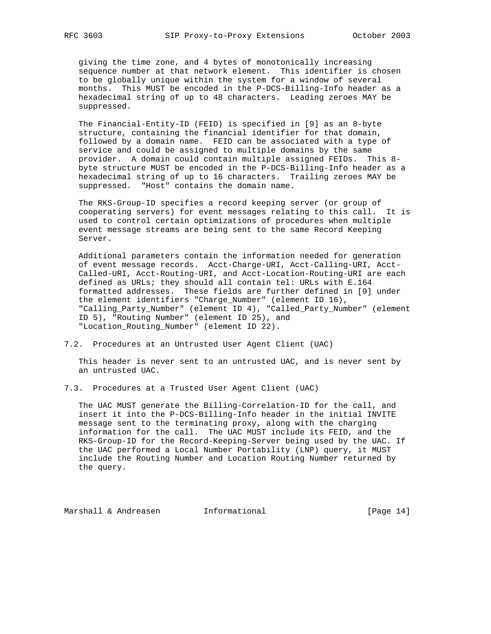giving the time zone, and 4 bytes of monotonically increasing sequence number at that network element. This identifier is chosen to be globally unique within the system for a window of several months. This MUST be encoded in the P-DCS-Billing-Info header as a hexadecimal string of up to 48 characters. Leading zeroes MAY be suppressed.

 The Financial-Entity-ID (FEID) is specified in [9] as an 8-byte structure, containing the financial identifier for that domain, followed by a domain name. FEID can be associated with a type of service and could be assigned to multiple domains by the same provider. A domain could contain multiple assigned FEIDs. This 8 byte structure MUST be encoded in the P-DCS-Billing-Info header as a hexadecimal string of up to 16 characters. Trailing zeroes MAY be suppressed. "Host" contains the domain name.

 The RKS-Group-ID specifies a record keeping server (or group of cooperating servers) for event messages relating to this call. It is used to control certain optimizations of procedures when multiple event message streams are being sent to the same Record Keeping Server.

 Additional parameters contain the information needed for generation of event message records. Acct-Charge-URI, Acct-Calling-URI, Acct- Called-URI, Acct-Routing-URI, and Acct-Location-Routing-URI are each defined as URLs; they should all contain tel: URLs with E.164 formatted addresses. These fields are further defined in [9] under the element identifiers "Charge\_Number" (element ID 16), "Calling\_Party\_Number" (element ID 4), "Called\_Party\_Number" (element ID 5), "Routing Number" (element ID 25), and "Location\_Routing\_Number" (element ID 22).

7.2. Procedures at an Untrusted User Agent Client (UAC)

 This header is never sent to an untrusted UAC, and is never sent by an untrusted UAC.

7.3. Procedures at a Trusted User Agent Client (UAC)

 The UAC MUST generate the Billing-Correlation-ID for the call, and insert it into the P-DCS-Billing-Info header in the initial INVITE message sent to the terminating proxy, along with the charging information for the call. The UAC MUST include its FEID, and the RKS-Group-ID for the Record-Keeping-Server being used by the UAC. If the UAC performed a Local Number Portability (LNP) query, it MUST include the Routing Number and Location Routing Number returned by the query.

Marshall & Andreasen Informational (Page 14)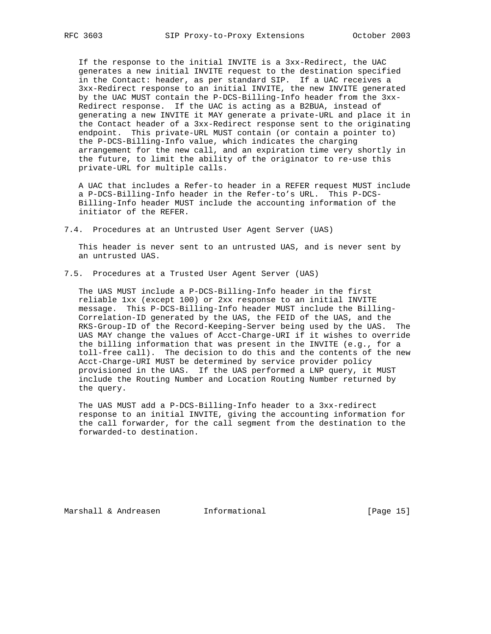If the response to the initial INVITE is a 3xx-Redirect, the UAC generates a new initial INVITE request to the destination specified in the Contact: header, as per standard SIP. If a UAC receives a 3xx-Redirect response to an initial INVITE, the new INVITE generated by the UAC MUST contain the P-DCS-Billing-Info header from the 3xx- Redirect response. If the UAC is acting as a B2BUA, instead of generating a new INVITE it MAY generate a private-URL and place it in the Contact header of a 3xx-Redirect response sent to the originating endpoint. This private-URL MUST contain (or contain a pointer to) the P-DCS-Billing-Info value, which indicates the charging arrangement for the new call, and an expiration time very shortly in the future, to limit the ability of the originator to re-use this private-URL for multiple calls.

 A UAC that includes a Refer-to header in a REFER request MUST include a P-DCS-Billing-Info header in the Refer-to's URL. This P-DCS- Billing-Info header MUST include the accounting information of the initiator of the REFER.

7.4. Procedures at an Untrusted User Agent Server (UAS)

 This header is never sent to an untrusted UAS, and is never sent by an untrusted UAS.

7.5. Procedures at a Trusted User Agent Server (UAS)

 The UAS MUST include a P-DCS-Billing-Info header in the first reliable 1xx (except 100) or 2xx response to an initial INVITE message. This P-DCS-Billing-Info header MUST include the Billing- Correlation-ID generated by the UAS, the FEID of the UAS, and the RKS-Group-ID of the Record-Keeping-Server being used by the UAS. The UAS MAY change the values of Acct-Charge-URI if it wishes to override the billing information that was present in the INVITE (e.g., for a toll-free call). The decision to do this and the contents of the new Acct-Charge-URI MUST be determined by service provider policy provisioned in the UAS. If the UAS performed a LNP query, it MUST include the Routing Number and Location Routing Number returned by the query.

 The UAS MUST add a P-DCS-Billing-Info header to a 3xx-redirect response to an initial INVITE, giving the accounting information for the call forwarder, for the call segment from the destination to the forwarded-to destination.

Marshall & Andreasen Informational (Page 15)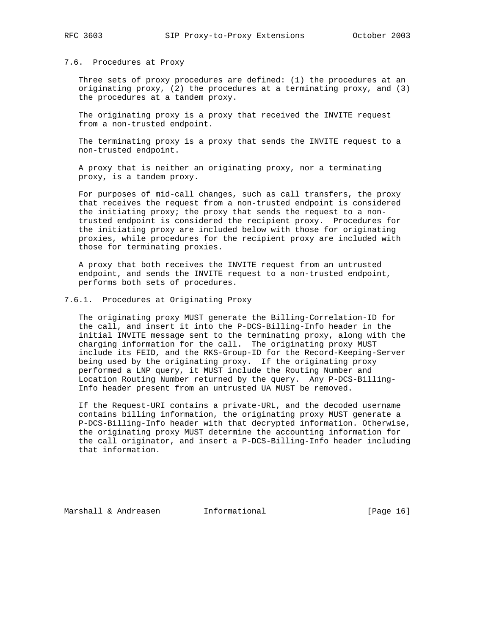### 7.6. Procedures at Proxy

 Three sets of proxy procedures are defined: (1) the procedures at an originating proxy, (2) the procedures at a terminating proxy, and (3) the procedures at a tandem proxy.

 The originating proxy is a proxy that received the INVITE request from a non-trusted endpoint.

 The terminating proxy is a proxy that sends the INVITE request to a non-trusted endpoint.

 A proxy that is neither an originating proxy, nor a terminating proxy, is a tandem proxy.

 For purposes of mid-call changes, such as call transfers, the proxy that receives the request from a non-trusted endpoint is considered the initiating proxy; the proxy that sends the request to a non trusted endpoint is considered the recipient proxy. Procedures for the initiating proxy are included below with those for originating proxies, while procedures for the recipient proxy are included with those for terminating proxies.

 A proxy that both receives the INVITE request from an untrusted endpoint, and sends the INVITE request to a non-trusted endpoint, performs both sets of procedures.

# 7.6.1. Procedures at Originating Proxy

 The originating proxy MUST generate the Billing-Correlation-ID for the call, and insert it into the P-DCS-Billing-Info header in the initial INVITE message sent to the terminating proxy, along with the charging information for the call. The originating proxy MUST include its FEID, and the RKS-Group-ID for the Record-Keeping-Server being used by the originating proxy. If the originating proxy performed a LNP query, it MUST include the Routing Number and Location Routing Number returned by the query. Any P-DCS-Billing- Info header present from an untrusted UA MUST be removed.

 If the Request-URI contains a private-URL, and the decoded username contains billing information, the originating proxy MUST generate a P-DCS-Billing-Info header with that decrypted information. Otherwise, the originating proxy MUST determine the accounting information for the call originator, and insert a P-DCS-Billing-Info header including that information.

Marshall & Andreasen **Informational Informational** [Page 16]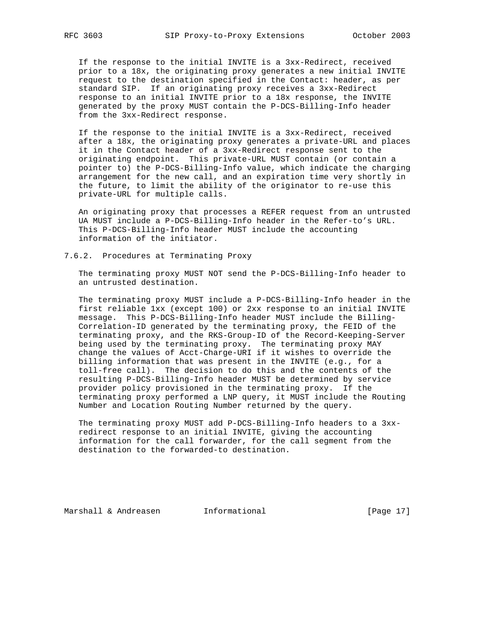If the response to the initial INVITE is a 3xx-Redirect, received prior to a 18x, the originating proxy generates a new initial INVITE request to the destination specified in the Contact: header, as per standard SIP. If an originating proxy receives a 3xx-Redirect response to an initial INVITE prior to a 18x response, the INVITE generated by the proxy MUST contain the P-DCS-Billing-Info header from the 3xx-Redirect response.

 If the response to the initial INVITE is a 3xx-Redirect, received after a 18x, the originating proxy generates a private-URL and places it in the Contact header of a 3xx-Redirect response sent to the originating endpoint. This private-URL MUST contain (or contain a pointer to) the P-DCS-Billing-Info value, which indicate the charging arrangement for the new call, and an expiration time very shortly in the future, to limit the ability of the originator to re-use this private-URL for multiple calls.

 An originating proxy that processes a REFER request from an untrusted UA MUST include a P-DCS-Billing-Info header in the Refer-to's URL. This P-DCS-Billing-Info header MUST include the accounting information of the initiator.

## 7.6.2. Procedures at Terminating Proxy

 The terminating proxy MUST NOT send the P-DCS-Billing-Info header to an untrusted destination.

 The terminating proxy MUST include a P-DCS-Billing-Info header in the first reliable 1xx (except 100) or 2xx response to an initial INVITE message. This P-DCS-Billing-Info header MUST include the Billing- Correlation-ID generated by the terminating proxy, the FEID of the terminating proxy, and the RKS-Group-ID of the Record-Keeping-Server being used by the terminating proxy. The terminating proxy MAY change the values of Acct-Charge-URI if it wishes to override the billing information that was present in the INVITE (e.g., for a toll-free call). The decision to do this and the contents of the resulting P-DCS-Billing-Info header MUST be determined by service provider policy provisioned in the terminating proxy. If the terminating proxy performed a LNP query, it MUST include the Routing Number and Location Routing Number returned by the query.

 The terminating proxy MUST add P-DCS-Billing-Info headers to a 3xx redirect response to an initial INVITE, giving the accounting information for the call forwarder, for the call segment from the destination to the forwarded-to destination.

Marshall & Andreasen **Informational Informational** [Page 17]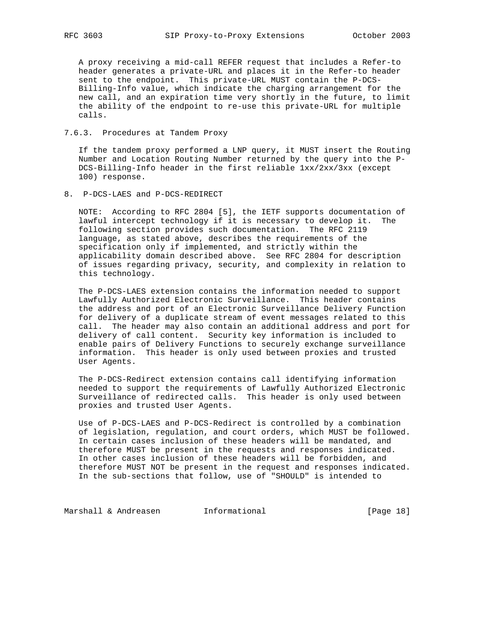A proxy receiving a mid-call REFER request that includes a Refer-to header generates a private-URL and places it in the Refer-to header sent to the endpoint. This private-URL MUST contain the P-DCS- Billing-Info value, which indicate the charging arrangement for the new call, and an expiration time very shortly in the future, to limit the ability of the endpoint to re-use this private-URL for multiple calls.

# 7.6.3. Procedures at Tandem Proxy

 If the tandem proxy performed a LNP query, it MUST insert the Routing Number and Location Routing Number returned by the query into the P- DCS-Billing-Info header in the first reliable 1xx/2xx/3xx (except 100) response.

8. P-DCS-LAES and P-DCS-REDIRECT

 NOTE: According to RFC 2804 [5], the IETF supports documentation of lawful intercept technology if it is necessary to develop it. The following section provides such documentation. The RFC 2119 language, as stated above, describes the requirements of the specification only if implemented, and strictly within the applicability domain described above. See RFC 2804 for description of issues regarding privacy, security, and complexity in relation to this technology.

 The P-DCS-LAES extension contains the information needed to support Lawfully Authorized Electronic Surveillance. This header contains the address and port of an Electronic Surveillance Delivery Function for delivery of a duplicate stream of event messages related to this call. The header may also contain an additional address and port for delivery of call content. Security key information is included to enable pairs of Delivery Functions to securely exchange surveillance information. This header is only used between proxies and trusted User Agents.

 The P-DCS-Redirect extension contains call identifying information needed to support the requirements of Lawfully Authorized Electronic Surveillance of redirected calls. This header is only used between proxies and trusted User Agents.

 Use of P-DCS-LAES and P-DCS-Redirect is controlled by a combination of legislation, regulation, and court orders, which MUST be followed. In certain cases inclusion of these headers will be mandated, and therefore MUST be present in the requests and responses indicated. In other cases inclusion of these headers will be forbidden, and therefore MUST NOT be present in the request and responses indicated. In the sub-sections that follow, use of "SHOULD" is intended to

Marshall & Andreasen 1nformational 1999 [Page 18]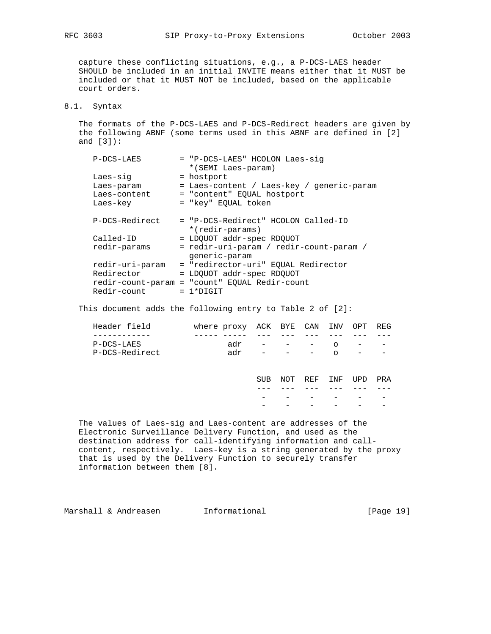capture these conflicting situations, e.g., a P-DCS-LAES header SHOULD be included in an initial INVITE means either that it MUST be included or that it MUST NOT be included, based on the applicable court orders.

# 8.1. Syntax

 The formats of the P-DCS-LAES and P-DCS-Redirect headers are given by the following ABNF (some terms used in this ABNF are defined in [2] and [3]):

| P-DCS-LAES      | = "P-DCS-LAES" HCOLON Laes-sig<br>*(SEMI Laes-param)     |
|-----------------|----------------------------------------------------------|
| Laes-sig        | = hostport                                               |
| Laes-param      | = Laes-content / Laes-key / generic-param                |
| Laes-content    | = "content" EQUAL hostport                               |
| Laes-key        | = "key" EOUAL token                                      |
| P-DCS-Redirect  | = "P-DCS-Redirect" HCOLON Called-ID<br>*(redir-params)   |
| Called-ID       | = LDOUOT addr-spec RDOUOT                                |
| redir-params    | = redir-uri-param / redir-count-param /<br>generic-param |
| redir-uri-param | = "redirector-uri" EOUAL Redirector                      |
| Redirector      | = LDQUOT addr-spec RDQUOT                                |
|                 | redir-count-param = "count" EQUAL Redir-count            |
| Redir-count     | $= 1*DTGIT$                                              |

This document adds the following entry to Table 2 of [2]:

|  |     |  | $\overline{\phantom{a}}$                                                                            |
|--|-----|--|-----------------------------------------------------------------------------------------------------|
|  | adr |  | where proxy ACK BYE CAN INV OPT REG<br>$adr - - - - 0 - - -$<br>$   \cap$<br>and the company of the |

 SUB NOT REF INF UPD PRA --- --- --- --- --- --- - - - - - - - - - - - -

 The values of Laes-sig and Laes-content are addresses of the Electronic Surveillance Delivery Function, and used as the destination address for call-identifying information and call content, respectively. Laes-key is a string generated by the proxy that is used by the Delivery Function to securely transfer information between them [8].

Marshall & Andreasen **Informational Informational** [Page 19]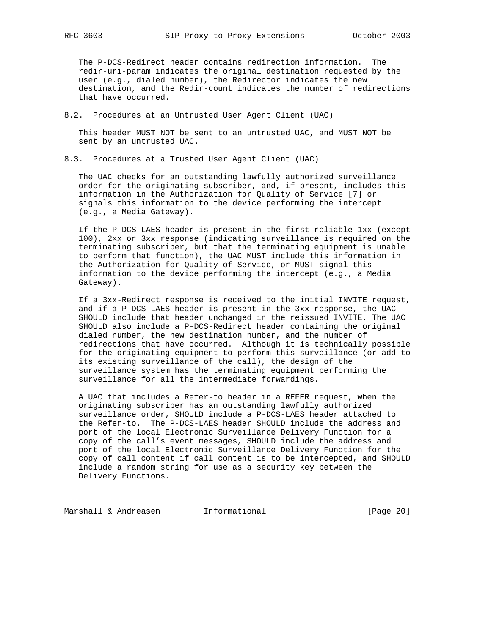The P-DCS-Redirect header contains redirection information. The redir-uri-param indicates the original destination requested by the user (e.g., dialed number), the Redirector indicates the new destination, and the Redir-count indicates the number of redirections that have occurred.

8.2. Procedures at an Untrusted User Agent Client (UAC)

 This header MUST NOT be sent to an untrusted UAC, and MUST NOT be sent by an untrusted UAC.

8.3. Procedures at a Trusted User Agent Client (UAC)

 The UAC checks for an outstanding lawfully authorized surveillance order for the originating subscriber, and, if present, includes this information in the Authorization for Quality of Service [7] or signals this information to the device performing the intercept (e.g., a Media Gateway).

 If the P-DCS-LAES header is present in the first reliable 1xx (except 100), 2xx or 3xx response (indicating surveillance is required on the terminating subscriber, but that the terminating equipment is unable to perform that function), the UAC MUST include this information in the Authorization for Quality of Service, or MUST signal this information to the device performing the intercept (e.g., a Media Gateway).

 If a 3xx-Redirect response is received to the initial INVITE request, and if a P-DCS-LAES header is present in the 3xx response, the UAC SHOULD include that header unchanged in the reissued INVITE. The UAC SHOULD also include a P-DCS-Redirect header containing the original dialed number, the new destination number, and the number of redirections that have occurred. Although it is technically possible for the originating equipment to perform this surveillance (or add to its existing surveillance of the call), the design of the surveillance system has the terminating equipment performing the surveillance for all the intermediate forwardings.

 A UAC that includes a Refer-to header in a REFER request, when the originating subscriber has an outstanding lawfully authorized surveillance order, SHOULD include a P-DCS-LAES header attached to the Refer-to. The P-DCS-LAES header SHOULD include the address and port of the local Electronic Surveillance Delivery Function for a copy of the call's event messages, SHOULD include the address and port of the local Electronic Surveillance Delivery Function for the copy of call content if call content is to be intercepted, and SHOULD include a random string for use as a security key between the Delivery Functions.

Marshall & Andreasen Informational [Page 20]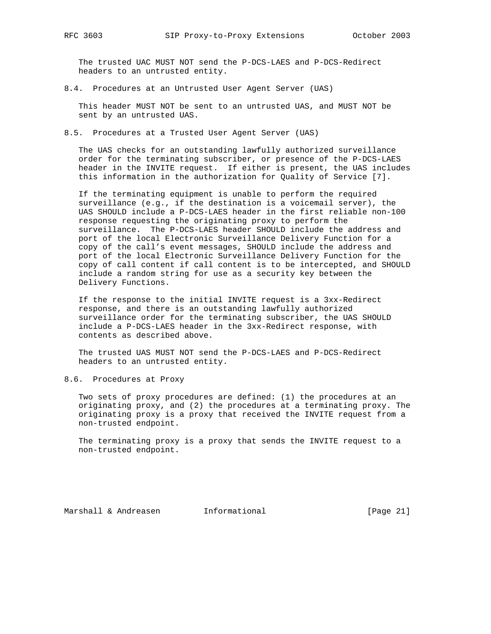The trusted UAC MUST NOT send the P-DCS-LAES and P-DCS-Redirect headers to an untrusted entity.

8.4. Procedures at an Untrusted User Agent Server (UAS)

 This header MUST NOT be sent to an untrusted UAS, and MUST NOT be sent by an untrusted UAS.

8.5. Procedures at a Trusted User Agent Server (UAS)

 The UAS checks for an outstanding lawfully authorized surveillance order for the terminating subscriber, or presence of the P-DCS-LAES header in the INVITE request. If either is present, the UAS includes this information in the authorization for Quality of Service [7].

 If the terminating equipment is unable to perform the required surveillance (e.g., if the destination is a voicemail server), the UAS SHOULD include a P-DCS-LAES header in the first reliable non-100 response requesting the originating proxy to perform the surveillance. The P-DCS-LAES header SHOULD include the address and port of the local Electronic Surveillance Delivery Function for a copy of the call's event messages, SHOULD include the address and port of the local Electronic Surveillance Delivery Function for the copy of call content if call content is to be intercepted, and SHOULD include a random string for use as a security key between the Delivery Functions.

 If the response to the initial INVITE request is a 3xx-Redirect response, and there is an outstanding lawfully authorized surveillance order for the terminating subscriber, the UAS SHOULD include a P-DCS-LAES header in the 3xx-Redirect response, with contents as described above.

 The trusted UAS MUST NOT send the P-DCS-LAES and P-DCS-Redirect headers to an untrusted entity.

8.6. Procedures at Proxy

 Two sets of proxy procedures are defined: (1) the procedures at an originating proxy, and (2) the procedures at a terminating proxy. The originating proxy is a proxy that received the INVITE request from a non-trusted endpoint.

 The terminating proxy is a proxy that sends the INVITE request to a non-trusted endpoint.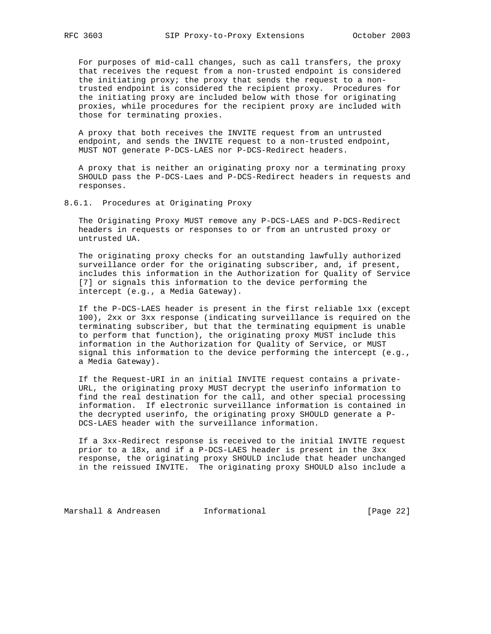For purposes of mid-call changes, such as call transfers, the proxy that receives the request from a non-trusted endpoint is considered the initiating proxy; the proxy that sends the request to a non trusted endpoint is considered the recipient proxy. Procedures for the initiating proxy are included below with those for originating proxies, while procedures for the recipient proxy are included with those for terminating proxies.

 A proxy that both receives the INVITE request from an untrusted endpoint, and sends the INVITE request to a non-trusted endpoint, MUST NOT generate P-DCS-LAES nor P-DCS-Redirect headers.

 A proxy that is neither an originating proxy nor a terminating proxy SHOULD pass the P-DCS-Laes and P-DCS-Redirect headers in requests and responses.

8.6.1. Procedures at Originating Proxy

 The Originating Proxy MUST remove any P-DCS-LAES and P-DCS-Redirect headers in requests or responses to or from an untrusted proxy or untrusted UA.

 The originating proxy checks for an outstanding lawfully authorized surveillance order for the originating subscriber, and, if present, includes this information in the Authorization for Quality of Service [7] or signals this information to the device performing the intercept (e.g., a Media Gateway).

 If the P-DCS-LAES header is present in the first reliable 1xx (except 100), 2xx or 3xx response (indicating surveillance is required on the terminating subscriber, but that the terminating equipment is unable to perform that function), the originating proxy MUST include this information in the Authorization for Quality of Service, or MUST signal this information to the device performing the intercept (e.g., a Media Gateway).

 If the Request-URI in an initial INVITE request contains a private- URL, the originating proxy MUST decrypt the userinfo information to find the real destination for the call, and other special processing information. If electronic surveillance information is contained in the decrypted userinfo, the originating proxy SHOULD generate a P- DCS-LAES header with the surveillance information.

 If a 3xx-Redirect response is received to the initial INVITE request prior to a 18x, and if a P-DCS-LAES header is present in the 3xx response, the originating proxy SHOULD include that header unchanged in the reissued INVITE. The originating proxy SHOULD also include a

Marshall & Andreasen 1nformational 1999 [Page 22]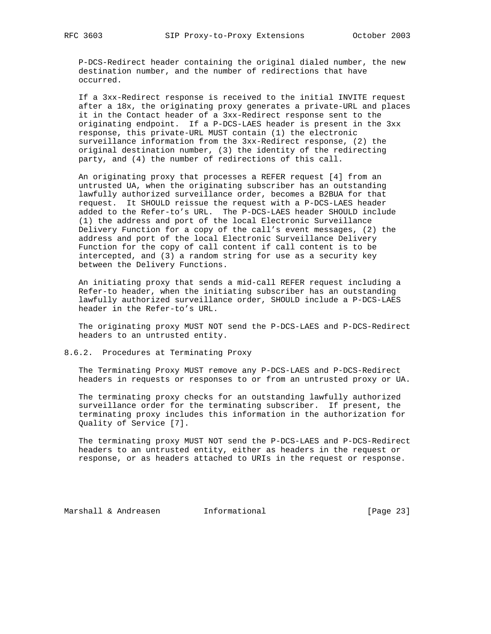P-DCS-Redirect header containing the original dialed number, the new destination number, and the number of redirections that have occurred.

 If a 3xx-Redirect response is received to the initial INVITE request after a 18x, the originating proxy generates a private-URL and places it in the Contact header of a 3xx-Redirect response sent to the originating endpoint. If a P-DCS-LAES header is present in the 3xx response, this private-URL MUST contain (1) the electronic surveillance information from the 3xx-Redirect response, (2) the original destination number, (3) the identity of the redirecting party, and (4) the number of redirections of this call.

 An originating proxy that processes a REFER request [4] from an untrusted UA, when the originating subscriber has an outstanding lawfully authorized surveillance order, becomes a B2BUA for that request. It SHOULD reissue the request with a P-DCS-LAES header added to the Refer-to's URL. The P-DCS-LAES header SHOULD include (1) the address and port of the local Electronic Surveillance Delivery Function for a copy of the call's event messages, (2) the address and port of the local Electronic Surveillance Delivery Function for the copy of call content if call content is to be intercepted, and (3) a random string for use as a security key between the Delivery Functions.

 An initiating proxy that sends a mid-call REFER request including a Refer-to header, when the initiating subscriber has an outstanding lawfully authorized surveillance order, SHOULD include a P-DCS-LAES header in the Refer-to's URL.

 The originating proxy MUST NOT send the P-DCS-LAES and P-DCS-Redirect headers to an untrusted entity.

8.6.2. Procedures at Terminating Proxy

 The Terminating Proxy MUST remove any P-DCS-LAES and P-DCS-Redirect headers in requests or responses to or from an untrusted proxy or UA.

 The terminating proxy checks for an outstanding lawfully authorized surveillance order for the terminating subscriber. If present, the terminating proxy includes this information in the authorization for Quality of Service [7].

 The terminating proxy MUST NOT send the P-DCS-LAES and P-DCS-Redirect headers to an untrusted entity, either as headers in the request or response, or as headers attached to URIs in the request or response.

Marshall & Andreasen 1nformational 1999 [Page 23]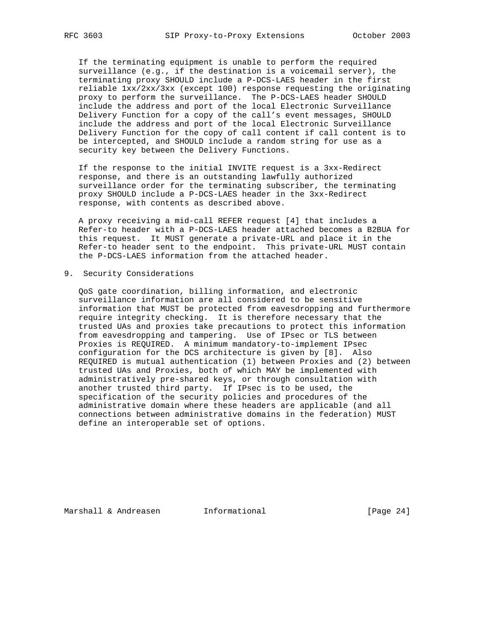If the terminating equipment is unable to perform the required surveillance (e.g., if the destination is a voicemail server), the terminating proxy SHOULD include a P-DCS-LAES header in the first reliable 1xx/2xx/3xx (except 100) response requesting the originating proxy to perform the surveillance. The P-DCS-LAES header SHOULD include the address and port of the local Electronic Surveillance Delivery Function for a copy of the call's event messages, SHOULD include the address and port of the local Electronic Surveillance Delivery Function for the copy of call content if call content is to be intercepted, and SHOULD include a random string for use as a security key between the Delivery Functions.

 If the response to the initial INVITE request is a 3xx-Redirect response, and there is an outstanding lawfully authorized surveillance order for the terminating subscriber, the terminating proxy SHOULD include a P-DCS-LAES header in the 3xx-Redirect response, with contents as described above.

 A proxy receiving a mid-call REFER request [4] that includes a Refer-to header with a P-DCS-LAES header attached becomes a B2BUA for this request. It MUST generate a private-URL and place it in the Refer-to header sent to the endpoint. This private-URL MUST contain the P-DCS-LAES information from the attached header.

9. Security Considerations

 QoS gate coordination, billing information, and electronic surveillance information are all considered to be sensitive information that MUST be protected from eavesdropping and furthermore require integrity checking. It is therefore necessary that the trusted UAs and proxies take precautions to protect this information from eavesdropping and tampering. Use of IPsec or TLS between Proxies is REQUIRED. A minimum mandatory-to-implement IPsec configuration for the DCS architecture is given by [8]. Also REQUIRED is mutual authentication (1) between Proxies and (2) between trusted UAs and Proxies, both of which MAY be implemented with administratively pre-shared keys, or through consultation with another trusted third party. If IPsec is to be used, the specification of the security policies and procedures of the administrative domain where these headers are applicable (and all connections between administrative domains in the federation) MUST define an interoperable set of options.

Marshall & Andreasen 1nformational 1999 [Page 24]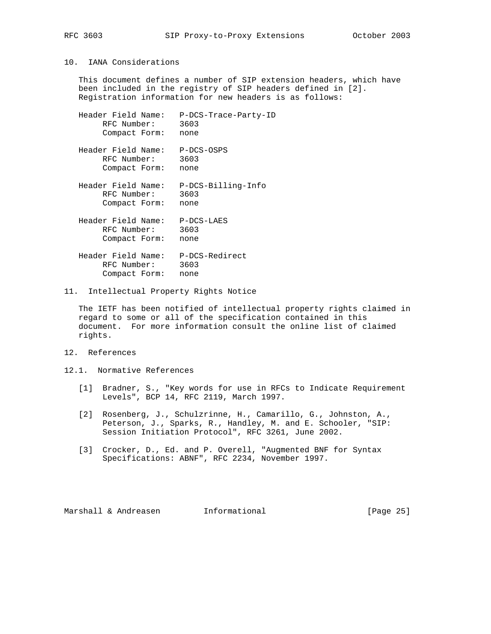# 10. IANA Considerations

 This document defines a number of SIP extension headers, which have been included in the registry of SIP headers defined in [2]. Registration information for new headers is as follows:

| P-DCS-Trace-Party-ID<br>3603<br>none                     |
|----------------------------------------------------------|
| P-DCS-OSPS<br>3603<br>none                               |
| Header Field Name:<br>P-DCS-Billing-Info<br>3603<br>none |
| $P-DCS-LAES$<br>3603<br>none                             |
| P-DCS-Redirect<br>3603<br>none                           |
|                                                          |

11. Intellectual Property Rights Notice

 The IETF has been notified of intellectual property rights claimed in regard to some or all of the specification contained in this document. For more information consult the online list of claimed rights.

# 12. References

12.1. Normative References

- [1] Bradner, S., "Key words for use in RFCs to Indicate Requirement Levels", BCP 14, RFC 2119, March 1997.
- [2] Rosenberg, J., Schulzrinne, H., Camarillo, G., Johnston, A., Peterson, J., Sparks, R., Handley, M. and E. Schooler, "SIP: Session Initiation Protocol", RFC 3261, June 2002.
- [3] Crocker, D., Ed. and P. Overell, "Augmented BNF for Syntax Specifications: ABNF", RFC 2234, November 1997.

Marshall & Andreasen 1nformational 1999 [Page 25]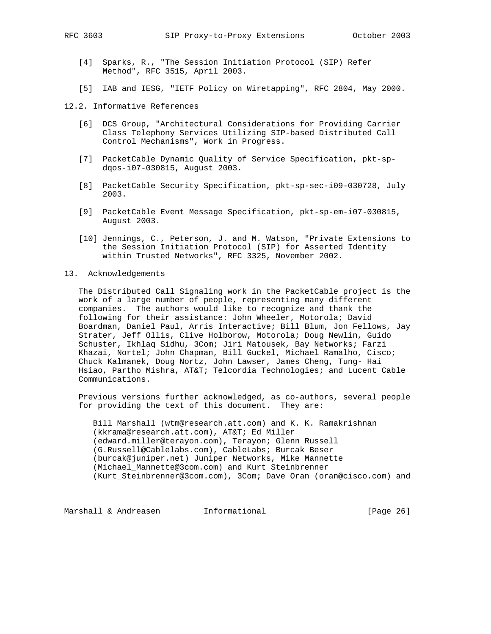- [4] Sparks, R., "The Session Initiation Protocol (SIP) Refer Method", RFC 3515, April 2003.
- [5] IAB and IESG, "IETF Policy on Wiretapping", RFC 2804, May 2000.

# 12.2. Informative References

- [6] DCS Group, "Architectural Considerations for Providing Carrier Class Telephony Services Utilizing SIP-based Distributed Call Control Mechanisms", Work in Progress.
- [7] PacketCable Dynamic Quality of Service Specification, pkt-sp dqos-i07-030815, August 2003.
- [8] PacketCable Security Specification, pkt-sp-sec-i09-030728, July 2003.
- [9] PacketCable Event Message Specification, pkt-sp-em-i07-030815, August 2003.
- [10] Jennings, C., Peterson, J. and M. Watson, "Private Extensions to the Session Initiation Protocol (SIP) for Asserted Identity within Trusted Networks", RFC 3325, November 2002.
- 13. Acknowledgements

 The Distributed Call Signaling work in the PacketCable project is the work of a large number of people, representing many different companies. The authors would like to recognize and thank the following for their assistance: John Wheeler, Motorola; David Boardman, Daniel Paul, Arris Interactive; Bill Blum, Jon Fellows, Jay Strater, Jeff Ollis, Clive Holborow, Motorola; Doug Newlin, Guido Schuster, Ikhlaq Sidhu, 3Com; Jiri Matousek, Bay Networks; Farzi Khazai, Nortel; John Chapman, Bill Guckel, Michael Ramalho, Cisco; Chuck Kalmanek, Doug Nortz, John Lawser, James Cheng, Tung- Hai Hsiao, Partho Mishra, AT&T; Telcordia Technologies; and Lucent Cable Communications.

 Previous versions further acknowledged, as co-authors, several people for providing the text of this document. They are:

 Bill Marshall (wtm@research.att.com) and K. K. Ramakrishnan (kkrama@research.att.com), AT&T; Ed Miller (edward.miller@terayon.com), Terayon; Glenn Russell (G.Russell@Cablelabs.com), CableLabs; Burcak Beser (burcak@juniper.net) Juniper Networks, Mike Mannette (Michael\_Mannette@3com.com) and Kurt Steinbrenner (Kurt\_Steinbrenner@3com.com), 3Com; Dave Oran (oran@cisco.com) and

Marshall & Andreasen Informational [Page 26]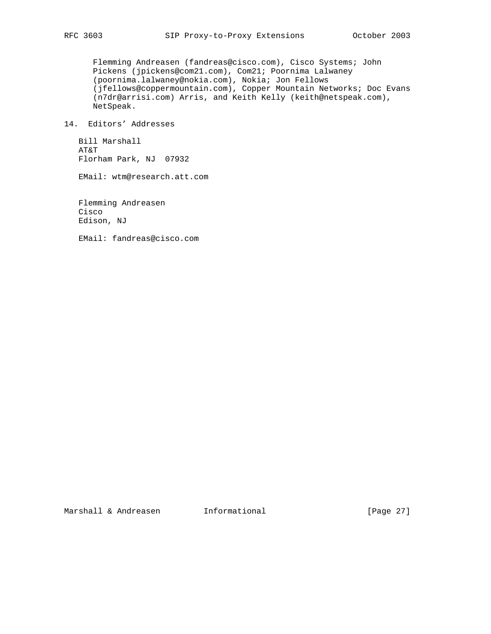Flemming Andreasen (fandreas@cisco.com), Cisco Systems; John Pickens (jpickens@com21.com), Com21; Poornima Lalwaney (poornima.lalwaney@nokia.com), Nokia; Jon Fellows (jfellows@coppermountain.com), Copper Mountain Networks; Doc Evans (n7dr@arrisi.com) Arris, and Keith Kelly (keith@netspeak.com), NetSpeak.

14. Editors' Addresses

 Bill Marshall AT&T Florham Park, NJ 07932

EMail: wtm@research.att.com

 Flemming Andreasen Cisco Edison, NJ

EMail: fandreas@cisco.com